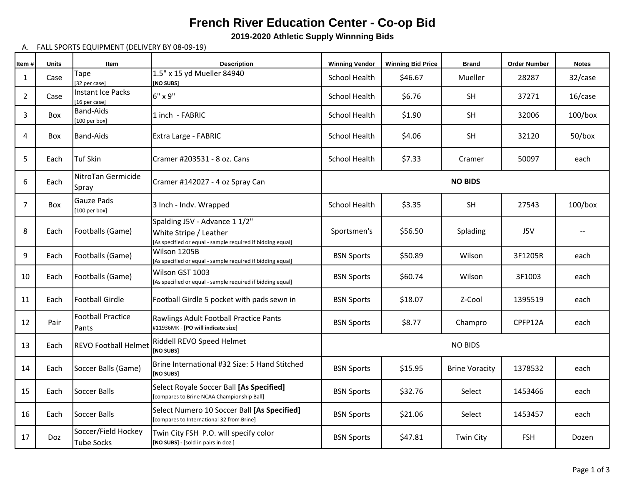## **French River Education Center - Co-op Bid**

**2019-2020 Athletic Supply Winnning Bids**

## A. FALL SPORTS EQUIPMENT (DELIVERY BY 08-09-19)

| Item#          | <b>Units</b> | Item                                         | <b>Description</b>                                                                                                    | <b>Winning Vendor</b> | <b>Winning Bid Price</b> | <b>Brand</b>          | <b>Order Number</b> | <b>Notes</b>  |  |
|----------------|--------------|----------------------------------------------|-----------------------------------------------------------------------------------------------------------------------|-----------------------|--------------------------|-----------------------|---------------------|---------------|--|
| 1              | Case         | Tape<br>[32 per case]                        | 1.5" x 15 yd Mueller 84940<br>[NO SUBS]                                                                               | <b>School Health</b>  | \$46.67                  | <b>Mueller</b>        | 28287               | 32/case       |  |
| $\overline{2}$ | Case         | Instant Ice Packs<br>[16 per case]           | $6" \times 9"$                                                                                                        | School Health         | \$6.76                   | SH                    | 37271               | 16/case       |  |
| 3              | Box          | <b>Band-Aids</b><br>[100 per box]            | 1 inch - FABRIC                                                                                                       | School Health         | \$1.90                   | SH                    | 32006               | $100/b$ ox    |  |
| 4              | Box          | <b>Band-Aids</b>                             | Extra Large - FABRIC                                                                                                  | School Health         | \$4.06                   | <b>SH</b>             | 32120               | $50/b$ ox     |  |
| 5              | Each         | <b>Tuf Skin</b>                              | Cramer #203531 - 8 oz. Cans                                                                                           | School Health         | \$7.33                   | Cramer                | 50097               | each          |  |
| 6              | Each         | NitroTan Germicide<br>Spray                  | Cramer #142027 - 4 oz Spray Can                                                                                       | <b>NO BIDS</b>        |                          |                       |                     |               |  |
| $\overline{7}$ | Box          | <b>Gauze Pads</b><br>$[100 \text{ per box}]$ | 3 Inch - Indv. Wrapped                                                                                                | School Health         | \$3.35                   | <b>SH</b>             | 27543               | $100/b$ ox    |  |
| 8              | Each         | Footballs (Game)                             | Spalding J5V - Advance 1 1/2"<br>White Stripe / Leather<br>[As specified or equal - sample required if bidding equal] | Sportsmen's           | \$56.50                  | Splading              | J5V                 | $\sim$ $\sim$ |  |
| 9              | Each         | Footballs (Game)                             | Wilson 1205B<br>[As specified or equal - sample required if bidding equal]                                            | <b>BSN Sports</b>     | \$50.89                  | Wilson                | 3F1205R             | each          |  |
| 10             | Each         | Footballs (Game)                             | Wilson GST 1003<br>[As specified or equal - sample required if bidding equal]                                         | <b>BSN Sports</b>     | \$60.74                  | Wilson                | 3F1003              | each          |  |
| 11             | Each         | <b>Football Girdle</b>                       | Football Girdle 5 pocket with pads sewn in                                                                            | <b>BSN Sports</b>     | \$18.07                  | Z-Cool                | 1395519             | each          |  |
| 12             | Pair         | <b>Football Practice</b><br>Pants            | Rawlings Adult Football Practice Pants<br>#11936MK - [PO will indicate size]                                          | <b>BSN Sports</b>     | \$8.77                   | Champro               | CPFP12A             | each          |  |
| 13             | Each         | <b>REVO Football Helmet</b>                  | Riddell REVO Speed Helmet<br>[NO SUBS]                                                                                | <b>NO BIDS</b>        |                          |                       |                     |               |  |
| 14             | Each         | Soccer Balls (Game)                          | Brine International #32 Size: 5 Hand Stitched<br>[NO SUBS]                                                            | <b>BSN Sports</b>     | \$15.95                  | <b>Brine Voracity</b> | 1378532             | each          |  |
| 15             | Each         | Soccer Balls                                 | Select Royale Soccer Ball [As Specified]<br>[compares to Brine NCAA Championship Ball]                                | <b>BSN Sports</b>     | \$32.76                  | Select                | 1453466             | each          |  |
| 16             | Each         | Soccer Balls                                 | Select Numero 10 Soccer Ball [As Specified]<br>[compares to International 32 from Brine]                              | <b>BSN Sports</b>     | \$21.06                  | Select                | 1453457             | each          |  |
| 17             | Doz          | Soccer/Field Hockey<br><b>Tube Socks</b>     | Twin City FSH P.O. will specify color<br>[NO SUBS] - [sold in pairs in doz.]                                          | <b>BSN Sports</b>     | \$47.81                  | Twin City             | <b>FSH</b>          | Dozen         |  |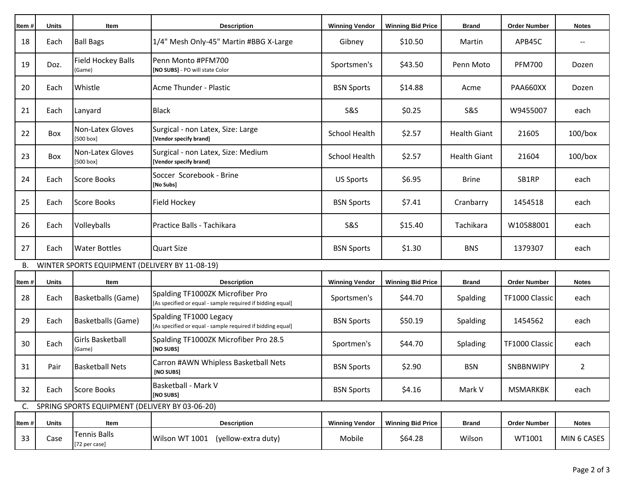| Item#  | <b>Units</b>                                   | Item                                 | <b>Description</b>                                                                             | <b>Winning Vendor</b> | <b>Winning Bid Price</b> | <b>Brand</b>        | <b>Order Number</b> | <b>Notes</b> |  |
|--------|------------------------------------------------|--------------------------------------|------------------------------------------------------------------------------------------------|-----------------------|--------------------------|---------------------|---------------------|--------------|--|
| 18     | Each                                           | <b>Ball Bags</b>                     | 1/4" Mesh Only-45" Martin #BBG X-Large                                                         | Gibney                | \$10.50                  | Martin              | APB45C              |              |  |
| 19     | Doz.                                           | Field Hockey Balls<br>(Game)         | Penn Monto #PFM700<br>[NO SUBS] - PO will state Color                                          | Sportsmen's           | \$43.50                  | Penn Moto           | <b>PFM700</b>       | Dozen        |  |
| 20     | Each                                           | Whistle                              | Acme Thunder - Plastic                                                                         | <b>BSN Sports</b>     | \$14.88                  | Acme                | PAA660XX            | Dozen        |  |
| 21     | Each                                           | Lanyard                              | <b>Black</b>                                                                                   | S&S                   | \$0.25                   | <b>S&amp;S</b>      | W9455007            | each         |  |
| 22     | Box                                            | Non-Latex Gloves<br>[500 box]        | Surgical - non Latex, Size: Large<br>[Vendor specify brand]                                    | <b>School Health</b>  | \$2.57                   | <b>Health Giant</b> | 21605               | $100/b$ ox   |  |
| 23     | Box                                            | Non-Latex Gloves<br>[500 box]        | Surgical - non Latex, Size: Medium<br>[Vendor specify brand]                                   | <b>School Health</b>  | \$2.57                   | <b>Health Giant</b> | 21604               | $100/b$ ox   |  |
| 24     | Each                                           | <b>Score Books</b>                   | Soccer Scorebook - Brine<br>[No Subs]                                                          | <b>US Sports</b>      | \$6.95                   | <b>Brine</b>        | SB1RP               | each         |  |
| 25     | Each                                           | Score Books                          | Field Hockey                                                                                   | <b>BSN Sports</b>     | \$7.41                   | Cranbarry           | 1454518             | each         |  |
| 26     | Each                                           | Volleyballs                          | Practice Balls - Tachikara                                                                     | S&S                   | \$15.40                  | Tachikara           | W10588001           | each         |  |
| 27     | Each                                           | <b>Water Bottles</b>                 | <b>Quart Size</b>                                                                              | <b>BSN Sports</b>     | \$1.30                   | <b>BNS</b>          | 1379307             | each         |  |
| В.     | WINTER SPORTS EQUIPMENT (DELIVERY BY 11-08-19) |                                      |                                                                                                |                       |                          |                     |                     |              |  |
| Item # | <b>Units</b>                                   | Item                                 | <b>Description</b>                                                                             | <b>Winning Vendor</b> | <b>Winning Bid Price</b> | <b>Brand</b>        | <b>Order Number</b> | <b>Notes</b> |  |
| 28     | Each                                           | <b>Basketballs (Game)</b>            | Spalding TF1000ZK Microfiber Pro<br>[As specified or equal - sample required if bidding equal] | Sportsmen's           | \$44.70                  | Spalding            | TF1000 Classic      | each         |  |
| 29     | Each                                           | <b>Basketballs (Game)</b>            | Spalding TF1000 Legacy<br>[As specified or equal - sample required if bidding equal]           | <b>BSN Sports</b>     | \$50.19                  | Spalding            | 1454562             | each         |  |
| 30     | Each                                           | Girls Basketball<br>(Game)           | Spalding TF1000ZK Microfiber Pro 28.5<br>[NO SUBS]                                             | Sportmen's            | \$44.70                  | Splading            | TF1000 Classic      | each         |  |
| 31     | Pair                                           | <b>Basketball Nets</b>               | Carron #AWN Whipless Basketball Nets<br>[NO SUBS]                                              | <b>BSN Sports</b>     | \$2.90                   | <b>BSN</b>          | SNBBNWIPY           | 2            |  |
| 32     | Each                                           | <b>Score Books</b>                   | Basketball - Mark V<br>[NO SUBS]                                                               | <b>BSN Sports</b>     | \$4.16                   | Mark V              | <b>MSMARKBK</b>     | each         |  |
| C.     | SPRING SPORTS EQUIPMENT (DELIVERY BY 03-06-20) |                                      |                                                                                                |                       |                          |                     |                     |              |  |
| Item#  | <b>Units</b>                                   | Item                                 | <b>Description</b>                                                                             | <b>Winning Vendor</b> | <b>Winning Bid Price</b> | <b>Brand</b>        | <b>Order Number</b> | <b>Notes</b> |  |
| 33     | Case                                           | <b>Tennis Balls</b><br>[72 per case] | Wilson WT 1001<br>(yellow-extra duty)                                                          | Mobile                | \$64.28                  | Wilson              | WT1001              | MIN 6 CASES  |  |